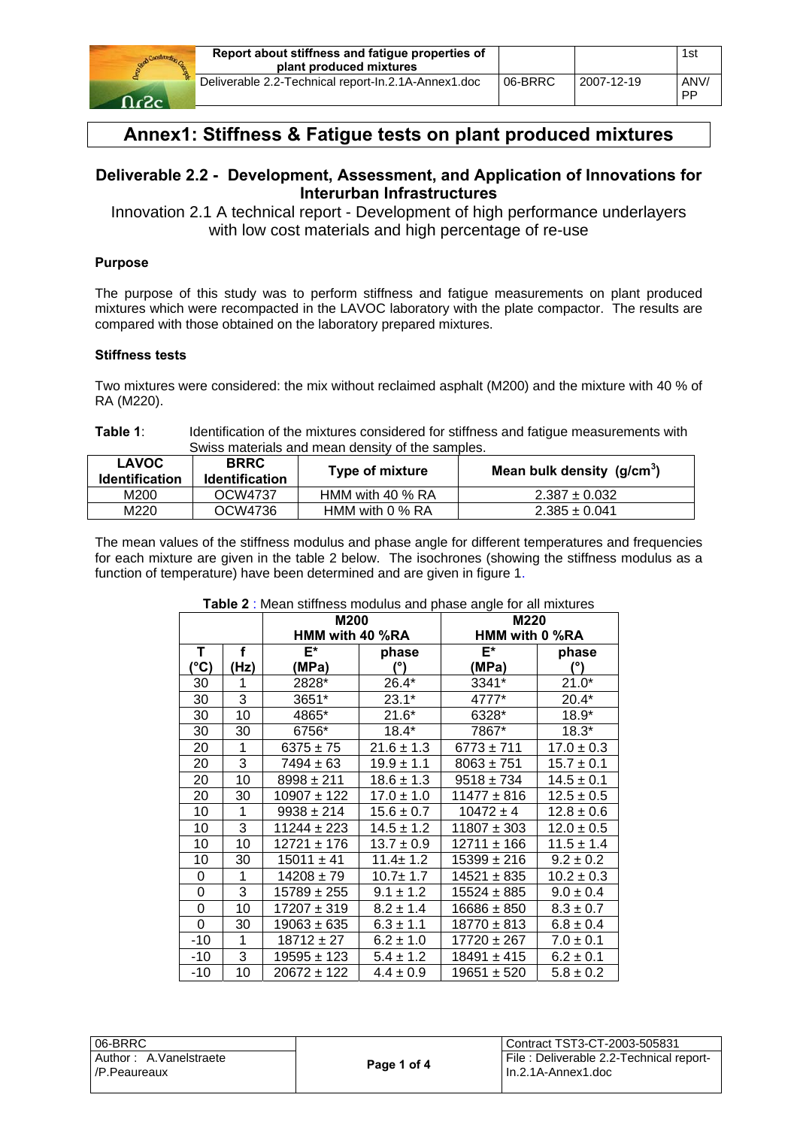

# **Annex1: Stiffness & Fatigue tests on plant produced mixtures**

## **Deliverable 2.2 - Development, Assessment, and Application of Innovations for Interurban Infrastructures**

Innovation 2.1 A technical report - Development of high performance underlayers with low cost materials and high percentage of re-use

### **Purpose**

The purpose of this study was to perform stiffness and fatigue measurements on plant produced mixtures which were recompacted in the LAVOC laboratory with the plate compactor. The results are compared with those obtained on the laboratory prepared mixtures.

#### **Stiffness tests**

Two mixtures were considered: the mix without reclaimed asphalt (M200) and the mixture with 40 % of RA (M220).

**Table 1**: Identification of the mixtures considered for stiffness and fatigue measurements with Swiss materials and mean density of the samples.

| <b>LAVOC</b><br><b>Identification</b> | <b>BRRC</b><br><b>Identification</b> | Type of mixture    | Mean bulk density $(g/cm3)$ |
|---------------------------------------|--------------------------------------|--------------------|-----------------------------|
| M200                                  | OCW4737                              | HMM with 40 $%$ RA | $2.387 \pm 0.032$           |
| M220                                  | OCW4736                              | HMM with 0 % RA    | $2.385 \pm 0.041$           |

The mean values of the stiffness modulus and phase angle for different temperatures and frequencies for each mixture are given in the table 2 below. The isochrones (showing the stiffness modulus as a function of temperature) have been determined and are given in figure 1.

|       |      | M200<br>HMM with 40 %RA |                | M220<br>HMM with 0 %RA |                |
|-------|------|-------------------------|----------------|------------------------|----------------|
| Т     | f    | E*                      | phase          | E*                     | phase          |
| (°C)  | (Hz) | (MPa)                   | (°)            | (MPa)                  | (°)            |
| 30    | 1    | 2828*                   | $26.4*$        | 3341*                  | $21.0*$        |
| 30    | 3    | 3651*                   | $23.1*$        | 4777*                  | $20.4*$        |
| 30    | 10   | 4865*                   | $21.6*$        | 6328*                  | $18.9*$        |
| 30    | 30   | 6756*                   | $18.4*$        | 7867*                  | $18.3*$        |
| 20    | 1    | $6375 \pm 75$           | $21.6 \pm 1.3$ | $6773 \pm 711$         | $17.0 \pm 0.3$ |
| 20    | 3    | $7494 \pm 63$           | 19.9 ± 1.1     | $8063 \pm 751$         | $15.7 \pm 0.1$ |
| 20    | 10   | $8998 \pm 211$          | $18.6 \pm 1.3$ | $9518 \pm 734$         | $14.5 \pm 0.1$ |
| 20    | 30   | $10907 \pm 122$         | $17.0 \pm 1.0$ | $11477 \pm 816$        | $12.5 \pm 0.5$ |
| 10    | 1    | $9938 \pm 214$          | $15.6 \pm 0.7$ | $10472 \pm 4$          | $12.8 \pm 0.6$ |
| 10    | 3    | $11244 \pm 223$         | $14.5 \pm 1.2$ | $11807 \pm 303$        | $12.0 \pm 0.5$ |
| 10    | 10   | $12721 \pm 176$         | $13.7 \pm 0.9$ | $12711 \pm 166$        | $11.5 \pm 1.4$ |
| 10    | 30   | $15011 \pm 41$          | $11.4 \pm 1.2$ | 15399 ± 216            | $9.2 \pm 0.2$  |
| 0     | 1    | $14208 \pm 79$          | $10.7 + 1.7$   | $14521 \pm 835$        | $10.2 \pm 0.3$ |
| 0     | 3    | 15789 ± 255             | $9.1 \pm 1.2$  | $15524 \pm 885$        | $9.0 \pm 0.4$  |
| 0     | 10   | 17207 ± 319             | $8.2 \pm 1.4$  | 16686 ± 850            | $8.3 \pm 0.7$  |
| 0     | 30   | 19063 ± 635             | $6.3 \pm 1.1$  | $18770 \pm 813$        | $6.8 \pm 0.4$  |
| -10   | 1    | $18712 \pm 27$          | $6.2 \pm 1.0$  | 17720 ± 267            | $7.0 \pm 0.1$  |
| $-10$ | 3    | 19595 ± 123             | $5.4 \pm 1.2$  | 18491 ± 415            | $6.2 \pm 0.1$  |
| -10   | 10   | 20672 ± 122             | $4.4 \pm 0.9$  | $19651 \pm 520$        | $5.8 \pm 0.2$  |

#### **Table 2** : Mean stiffness modulus and phase angle for all mixtures

| l 06-BRRC l                              |             | l Contract TST3-CT-2003-505831                                  |
|------------------------------------------|-------------|-----------------------------------------------------------------|
| Author: A.Vanelstraete<br>l /P.Peaureaux | Page 1 of 4 | File: Deliverable 2.2-Technical report-<br>l In.2.1A-Annex1.doc |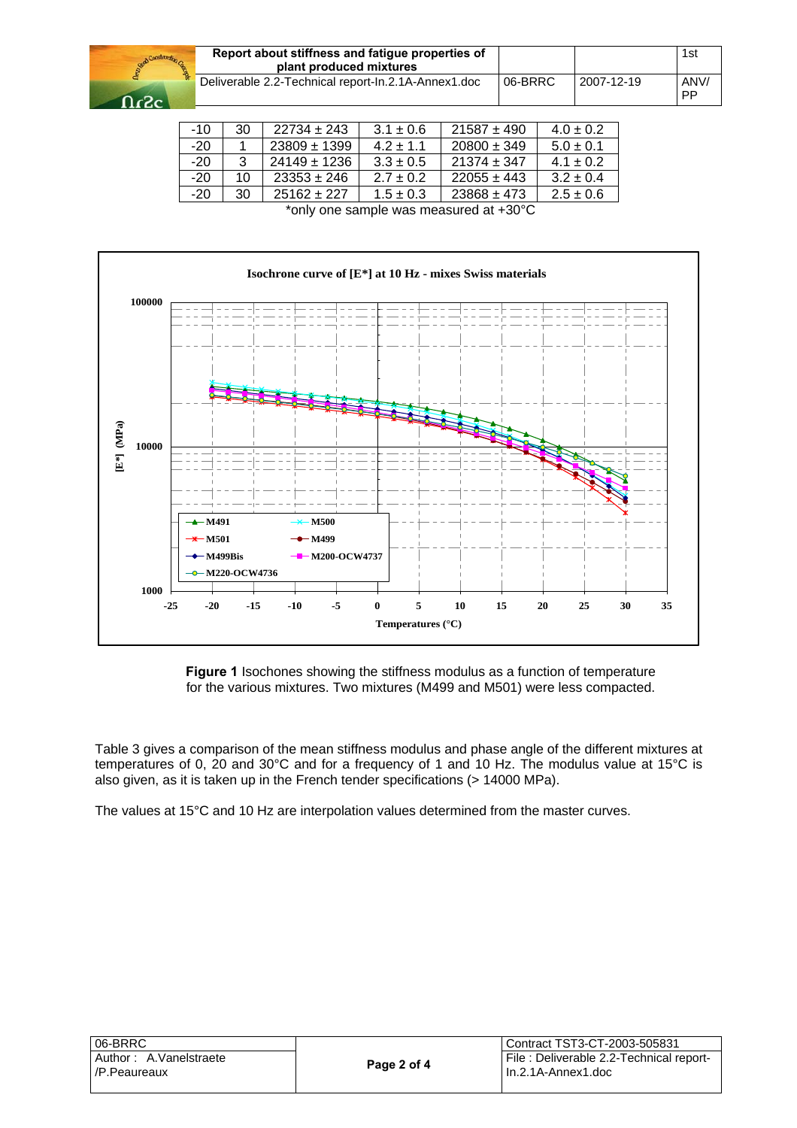

| Report about stiffness and fatigue properties of<br>plant produced mixtures |         |            | 1st               |
|-----------------------------------------------------------------------------|---------|------------|-------------------|
| Deliverable 2.2-Technical report-In.2.1A-Annex1.doc                         | 06-BRRC | 2007-12-19 | ANV/<br><b>PP</b> |

| $-10$ | 30 | $22734 \pm 243$  | $3.1 \pm 0.6$ | $21587 \pm 490$ | $4.0 \pm 0.2$ |
|-------|----|------------------|---------------|-----------------|---------------|
| $-20$ |    | $23809 \pm 1399$ | $42+11$       | $20800 \pm 349$ | $5.0 \pm 0.1$ |
| $-20$ | 3  | $24149 \pm 1236$ | $3.3 \pm 0.5$ | $21374 \pm 347$ | $4.1 \pm 0.2$ |
| $-20$ | 10 | $23353 \pm 246$  | $2.7 \pm 0.2$ | $22055 \pm 443$ | $3.2 \pm 0.4$ |
| $-20$ | 30 | $25162 \pm 227$  | $1.5 \pm 0.3$ | $23868 \pm 473$ | $2.5 \pm 0.6$ |

\*only one sample was measured at +30°C



**Figure 1** Isochones showing the stiffness modulus as a function of temperature for the various mixtures. Two mixtures (M499 and M501) were less compacted.

Table 3 gives a comparison of the mean stiffness modulus and phase angle of the different mixtures at temperatures of 0, 20 and 30°C and for a frequency of 1 and 10 Hz. The modulus value at 15°C is also given, as it is taken up in the French tender specifications (> 14000 MPa).

The values at 15°C and 10 Hz are interpolation values determined from the master curves.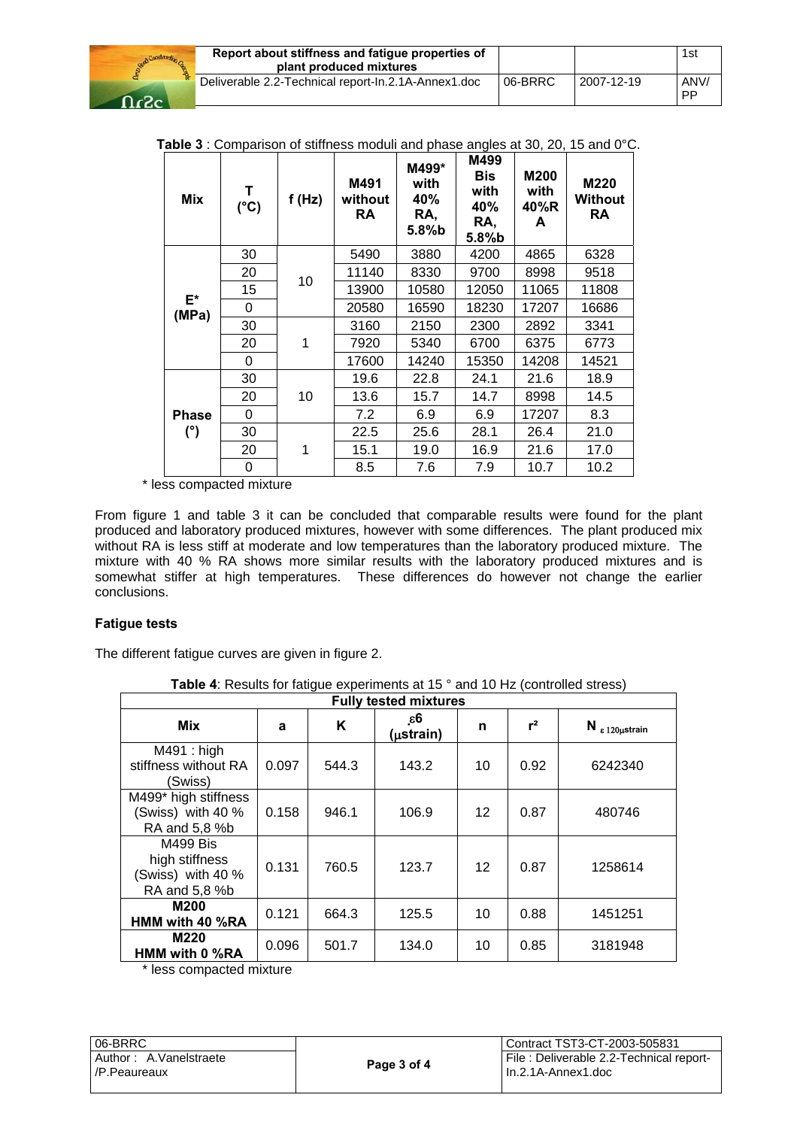

**Table 3** : Comparison of stiffness moduli and phase angles at 30, 20, 15 and 0°C.

| Mix          | T<br>$(^{\circ}C)$ | f(Hz) | M491<br>without<br>RA | M499*<br>with<br>40%<br>RA,<br>5.8%b | M499<br><b>Bis</b><br>with<br>40%<br>RA,<br>$5.8%$ b | M200<br>with<br>40%R<br>A | M220<br><b>Without</b><br>RA |
|--------------|--------------------|-------|-----------------------|--------------------------------------|------------------------------------------------------|---------------------------|------------------------------|
|              | 30                 |       | 5490                  | 3880                                 | 4200                                                 | 4865                      | 6328                         |
|              | 20                 | 10    | 11140                 | 8330                                 | 9700                                                 | 8998                      | 9518                         |
| $E^*$        | 15                 |       | 13900                 | 10580                                | 12050                                                | 11065                     | 11808                        |
| (MPa)        | 0                  |       | 20580                 | 16590                                | 18230                                                | 17207                     | 16686                        |
|              | 30                 |       | 3160                  | 2150                                 | 2300                                                 | 2892                      | 3341                         |
|              | 20                 | 1     | 7920                  | 5340                                 | 6700                                                 | 6375                      | 6773                         |
|              | 0                  |       | 17600                 | 14240                                | 15350                                                | 14208                     | 14521                        |
|              | 30                 |       | 19.6                  | 22.8                                 | 24.1                                                 | 21.6                      | 18.9                         |
|              | 20                 | 10    | 13.6                  | 15.7                                 | 14.7                                                 | 8998                      | 14.5                         |
| <b>Phase</b> | 0                  |       | 7.2                   | 6.9                                  | 6.9                                                  | 17207                     | 8.3                          |
| (°)          | 30                 |       | 22.5                  | 25.6                                 | 28.1                                                 | 26.4                      | 21.0                         |
|              | 20                 | 1     | 15.1                  | 19.0                                 | 16.9                                                 | 21.6                      | 17.0                         |
|              | 0                  |       | 8.5                   | 7.6                                  | 7.9                                                  | 10.7                      | 10.2                         |

\* less compacted mixture

From figure 1 and table 3 it can be concluded that comparable results were found for the plant produced and laboratory produced mixtures, however with some differences. The plant produced mix without RA is less stiff at moderate and low temperatures than the laboratory produced mixture. The mixture with 40 % RA shows more similar results with the laboratory produced mixtures and is somewhat stiffer at high temperatures. These differences do however not change the earlier conclusions.

#### **Fatigue tests**

The different fatigue curves are given in figure 2.

**Table 4:** Results for fatigue experiments at 15 ° and 10 Hz (controlled stress)

| <b>Fully tested mixtures</b>                                     |       |       |                  |                   |       |                           |
|------------------------------------------------------------------|-------|-------|------------------|-------------------|-------|---------------------------|
| Mix                                                              | a     | K     | 6ع.<br>(µstrain) | n                 | $r^2$ | $N_{\epsilon}$ 120µstrain |
| M491 : high<br>stiffness without RA<br>(Swiss)                   | 0.097 | 544.3 | 143.2            | 10                | 0.92  | 6242340                   |
| M499* high stiffness<br>(Swiss) with 40 %<br>RA and 5,8 %b       | 0.158 | 946.1 | 106.9            | $12 \overline{ }$ | 0.87  | 480746                    |
| M499 Bis<br>high stiffness<br>(Swiss) with 40 %<br>RA and 5,8 %b | 0.131 | 760.5 | 123.7            | 12                | 0.87  | 1258614                   |
| M200<br>HMM with 40 %RA                                          | 0.121 | 664.3 | 125.5            | 10                | 0.88  | 1451251                   |
| M220<br>HMM with 0 %RA                                           | 0.096 | 501.7 | 134.0            | 10                | 0.85  | 3181948                   |

\* less compacted mixture